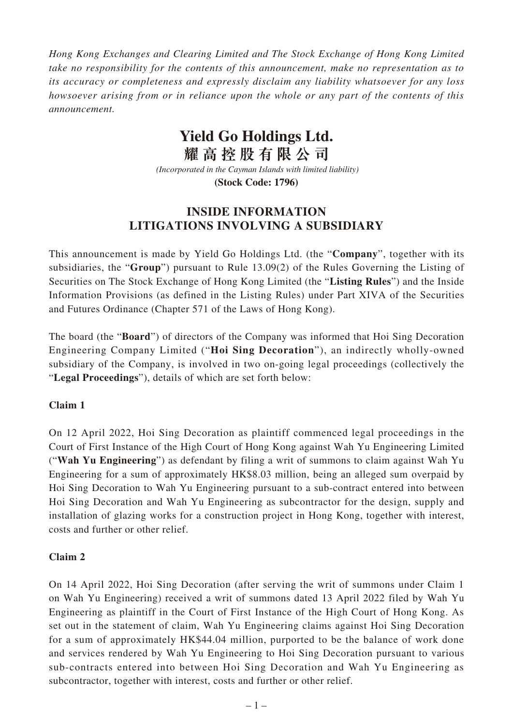*Hong Kong Exchanges and Clearing Limited and The Stock Exchange of Hong Kong Limited take no responsibility for the contents of this announcement, make no representation as to its accuracy or completeness and expressly disclaim any liability whatsoever for any loss howsoever arising from or in reliance upon the whole or any part of the contents of this announcement.*

## **Yield Go Holdings Ltd.**

**耀高控股有限公司**

 *(Incorporated in the Cayman Islands with limited liability)* **(Stock Code: 1796)**

## **INSIDE INFORMATION LITIGATIONS INVOLVING A SUBSIDIARY**

This announcement is made by Yield Go Holdings Ltd. (the "**Company**", together with its subsidiaries, the "**Group**") pursuant to Rule 13.09(2) of the Rules Governing the Listing of Securities on The Stock Exchange of Hong Kong Limited (the "**Listing Rules**") and the Inside Information Provisions (as defined in the Listing Rules) under Part XIVA of the Securities and Futures Ordinance (Chapter 571 of the Laws of Hong Kong).

The board (the "**Board**") of directors of the Company was informed that Hoi Sing Decoration Engineering Company Limited ("**Hoi Sing Decoration**"), an indirectly wholly-owned subsidiary of the Company, is involved in two on-going legal proceedings (collectively the "**Legal Proceedings**"), details of which are set forth below:

## **Claim 1**

On 12 April 2022, Hoi Sing Decoration as plaintiff commenced legal proceedings in the Court of First Instance of the High Court of Hong Kong against Wah Yu Engineering Limited ("**Wah Yu Engineering**") as defendant by filing a writ of summons to claim against Wah Yu Engineering for a sum of approximately HK\$8.03 million, being an alleged sum overpaid by Hoi Sing Decoration to Wah Yu Engineering pursuant to a sub-contract entered into between Hoi Sing Decoration and Wah Yu Engineering as subcontractor for the design, supply and installation of glazing works for a construction project in Hong Kong, together with interest, costs and further or other relief.

## **Claim 2**

On 14 April 2022, Hoi Sing Decoration (after serving the writ of summons under Claim 1 on Wah Yu Engineering) received a writ of summons dated 13 April 2022 filed by Wah Yu Engineering as plaintiff in the Court of First Instance of the High Court of Hong Kong. As set out in the statement of claim, Wah Yu Engineering claims against Hoi Sing Decoration for a sum of approximately HK\$44.04 million, purported to be the balance of work done and services rendered by Wah Yu Engineering to Hoi Sing Decoration pursuant to various sub-contracts entered into between Hoi Sing Decoration and Wah Yu Engineering as subcontractor, together with interest, costs and further or other relief.